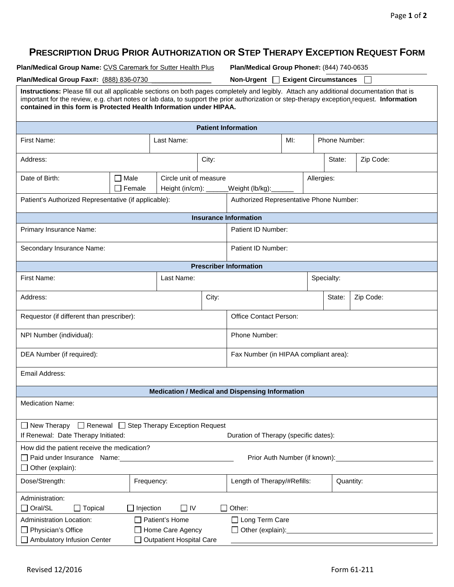## **PRESCRIPTION DRUG PRIOR AUTHORIZATION OR STEP THERAPY EXCEPTION REQUEST FORM**

**Plan/Medical Group Name:** CVS Caremark for Sutter Health Plus **Plan/Medical Group Phone#:** (844) 740-0635

**Plan/Medical Group Fax#:** (888) 836-0730 \_\_\_\_\_\_\_\_\_\_\_\_\_\_\_\_ **Non-Urgent Exigent Circumstances** 

| on-Urgent □ Exigent Circumstances |  |
|-----------------------------------|--|
|                                   |  |

| Instructions: Please fill out all applicable sections on both pages completely and legibly. Attach any additional documentation that is<br>important for the review, e.g. chart notes or lab data, to support the prior authorization or step-therapy exception_request. Information<br>contained in this form is Protected Health Information under HIPAA. |                                         |                                                                       |                                       |                                                        |     |               |            |           |  |
|-------------------------------------------------------------------------------------------------------------------------------------------------------------------------------------------------------------------------------------------------------------------------------------------------------------------------------------------------------------|-----------------------------------------|-----------------------------------------------------------------------|---------------------------------------|--------------------------------------------------------|-----|---------------|------------|-----------|--|
| <b>Patient Information</b>                                                                                                                                                                                                                                                                                                                                  |                                         |                                                                       |                                       |                                                        |     |               |            |           |  |
| First Name:                                                                                                                                                                                                                                                                                                                                                 |                                         | Last Name:                                                            |                                       |                                                        | MI: | Phone Number: |            |           |  |
| City:<br>Address:                                                                                                                                                                                                                                                                                                                                           |                                         |                                                                       |                                       |                                                        |     |               | State:     | Zip Code: |  |
| Date of Birth:                                                                                                                                                                                                                                                                                                                                              | Male<br>Female                          | Circle unit of measure<br>Height (in/cm): $\_\_\_\_\_\_\_\$           |                                       | Allergies:<br>_Weight (lb/kg):_                        |     |               |            |           |  |
| Patient's Authorized Representative (if applicable):                                                                                                                                                                                                                                                                                                        | Authorized Representative Phone Number: |                                                                       |                                       |                                                        |     |               |            |           |  |
|                                                                                                                                                                                                                                                                                                                                                             |                                         |                                                                       |                                       | <b>Insurance Information</b>                           |     |               |            |           |  |
| Primary Insurance Name:                                                                                                                                                                                                                                                                                                                                     |                                         |                                                                       |                                       | Patient ID Number:                                     |     |               |            |           |  |
| Secondary Insurance Name:                                                                                                                                                                                                                                                                                                                                   |                                         |                                                                       |                                       | Patient ID Number:                                     |     |               |            |           |  |
|                                                                                                                                                                                                                                                                                                                                                             |                                         |                                                                       |                                       | <b>Prescriber Information</b>                          |     |               |            |           |  |
| First Name:<br>Last Name:                                                                                                                                                                                                                                                                                                                                   |                                         |                                                                       |                                       |                                                        |     |               | Specialty: |           |  |
| Address:                                                                                                                                                                                                                                                                                                                                                    | City:                                   |                                                                       |                                       |                                                        |     |               | State:     | Zip Code: |  |
| Requestor (if different than prescriber):                                                                                                                                                                                                                                                                                                                   |                                         |                                                                       |                                       | <b>Office Contact Person:</b>                          |     |               |            |           |  |
| NPI Number (individual):                                                                                                                                                                                                                                                                                                                                    |                                         |                                                                       | Phone Number:                         |                                                        |     |               |            |           |  |
| DEA Number (if required):                                                                                                                                                                                                                                                                                                                                   |                                         |                                                                       | Fax Number (in HIPAA compliant area): |                                                        |     |               |            |           |  |
| Email Address:                                                                                                                                                                                                                                                                                                                                              |                                         |                                                                       |                                       |                                                        |     |               |            |           |  |
|                                                                                                                                                                                                                                                                                                                                                             |                                         |                                                                       |                                       | <b>Medication / Medical and Dispensing Information</b> |     |               |            |           |  |
| <b>Medication Name:</b>                                                                                                                                                                                                                                                                                                                                     |                                         |                                                                       |                                       |                                                        |     |               |            |           |  |
| $\Box$ New Therapy $\Box$ Renewal $\Box$ Step Therapy Exception Request<br>If Renewal: Date Therapy Initiated:<br>Duration of Therapy (specific dates):                                                                                                                                                                                                     |                                         |                                                                       |                                       |                                                        |     |               |            |           |  |
| How did the patient receive the medication?<br>Paid under Insurance Name:<br>Prior Auth Number (if known):<br>$\Box$ Other (explain):                                                                                                                                                                                                                       |                                         |                                                                       |                                       |                                                        |     |               |            |           |  |
| Dose/Strength:                                                                                                                                                                                                                                                                                                                                              | Frequency:                              |                                                                       |                                       | Length of Therapy/#Refills:                            |     |               | Quantity:  |           |  |
| Administration:<br>$\Box$ Oral/SL<br>$\Box$ Topical                                                                                                                                                                                                                                                                                                         | $\Box$ Injection                        | $\Box$ IV                                                             |                                       | Other:                                                 |     |               |            |           |  |
| Administration Location:<br>$\Box$ Physician's Office<br>Ambulatory Infusion Center                                                                                                                                                                                                                                                                         |                                         | Patient's Home<br>Home Care Agency<br><b>Outpatient Hospital Care</b> |                                       | □ Long Term Care<br>$\Box$ Other (explain):            |     |               |            |           |  |